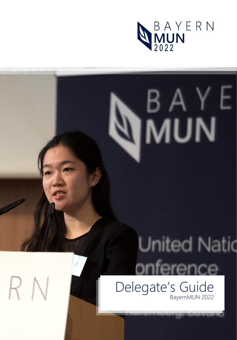

# $\frac{BA}{B}$

# **United Natio** ference

Delegate's Guide BayernMUN 2022

RN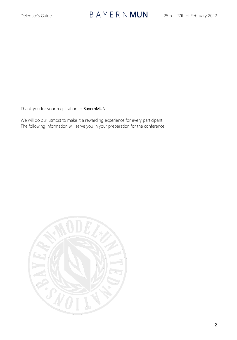# Delegate's Guide  $BA \, Y \, E \, R \, N \, MUN$  25th – 27th of February 2022

Thank you for your registration to **BayernMUN!** 

We will do our utmost to make it a rewarding experience for every participant. The following information will serve you in your preparation for the conference.

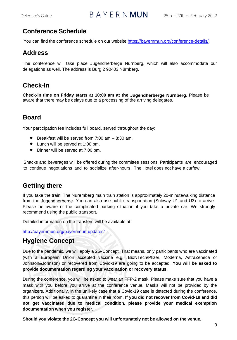# Delegate's Guide  $\overline{B} A Y E R N$  **MUN** 25th – 27th of February 2022

#### **Conference Schedule**

You can find the conference schedule on our website [https://bayernmun.org/conference-details/.](https://bayernmun.org/conference-details/)

#### **Address**

The conference will take place Jugendherberge Nürnberg, which will also accommodate our delegations as well. The address is Burg 2 90403 Nürnberg.

#### **Check-In**

**Check-in time on Friday starts at 10:00 am at the Jugendherberge Nürnberg.** Please be aware that there may be delays due to a processing of the arriving delegates.

#### **Board**

Your participation fee includes full board, served throughout the day:

- Breakfast will be served from 7:00 am 8:30 am.
- Lunch will be served at 1:00 pm.
- Dinner will be served at 7:00 pm.

Snacks and beverages will be offered during the committee sessions. Participants are encouraged to continue negotiations and to socialize after-hours. The Hotel does not have a curfew.

#### **Getting there**

If you take the train: The Nuremberg main train station is approximately 20-minutewalking distance from the Jugendherberge. You can also use public transportation (Subway U1 and U3) to arrive. Please be aware of the complicated parking situation if you take a private car. We strongly recommend using the public transport.

Detailed information on the transfers will be available at:

<http://bayernmun.org/bayernmun-updates/>

#### **Hygiene Concept**

Due to the pandemic, we will apply a 2G-Concept. That means, only participants who are vaccinated (with a European Union accepted vaccine e.g., BioNTech/Pfizer, Moderna, AstraZeneca or Johnson&Johnson) or recovered from Covid-19 are going to be accepted. **You will be asked to provide documentation regarding your vaccination or recovery status.** 

During the conference, you will be asked to wear an FFP-2 mask. Please make sure that you have a mask with you before you arrive at the conference venue. Masks will not be provided by the organizers. Additionally, in the unlikely case that a Covid-19 case is detected during the conference, this person will be asked to quarantine in their room. **If you did not recover from Covid-19 and did not get vaccinated due to medical condition, please provide your medical exemption documentation when you register.** 

**Should you violate the 2G-Concept you will unfortunately not be allowed on the venue.**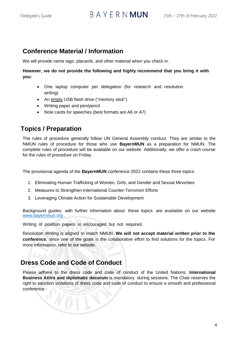#### **Conference Material / Information**

We will provide name tags, placards, and other material when you check in.

#### **However, we do not provide the following and highly recommend that you bring it with you:**

- One laptop computer per delegation (for research and resolution writing)
- An empty USB flash drive ("memory stick")
- Writing paper and pen/pencil
- Note cards for speeches (best formats are A6 or A7)

#### **Topics / Preparation**

The rules of procedure generally follow UN General Assembly conduct. They are similar to the NMUN rules of procedure for those who use **BayernMUN** as a preparation for NMUN. The complete rules of procedure will be available on our website. Additionally, we offer a crash course for the rules of procedure on Friday.

The provisional agenda of the **BayernMUN** conference 2022 contains these three topics:

- 1. Eliminating Human Trafficking of Women, Girls, and Gender and Sexual Minorities
- 2. Measures to Strengthen International Counter-Terrorism Efforts
- 3. Leveraging Climate Action for Sustainable Development

Background guides with further information about these topics are available on our website [www.bayernmun.org](http://www.bayernmun.org/) .

Writing of position papers is encouraged but not required.

Resolution Writing is aligned to match NMUN. **We will not accept material written prior to the conference**, since one of the goals is the collaborative effort to find solutions for the topics. For more information, refer to our websit[e.](http://www.nmun.org/downloads/prep_guide_pdfs/Resolution%20and%20Report%20Segment%20Writing.pdf)

#### **Dress Code and Code of Conduct**

Please adhere to the dress code and code of conduct of the United Nations: **International Business Attire and diplomatic decorum** is mandatory during sessions. The Chair reserves the right to sanction violations of dress code and code of conduct to ensure a smooth and professional conference.